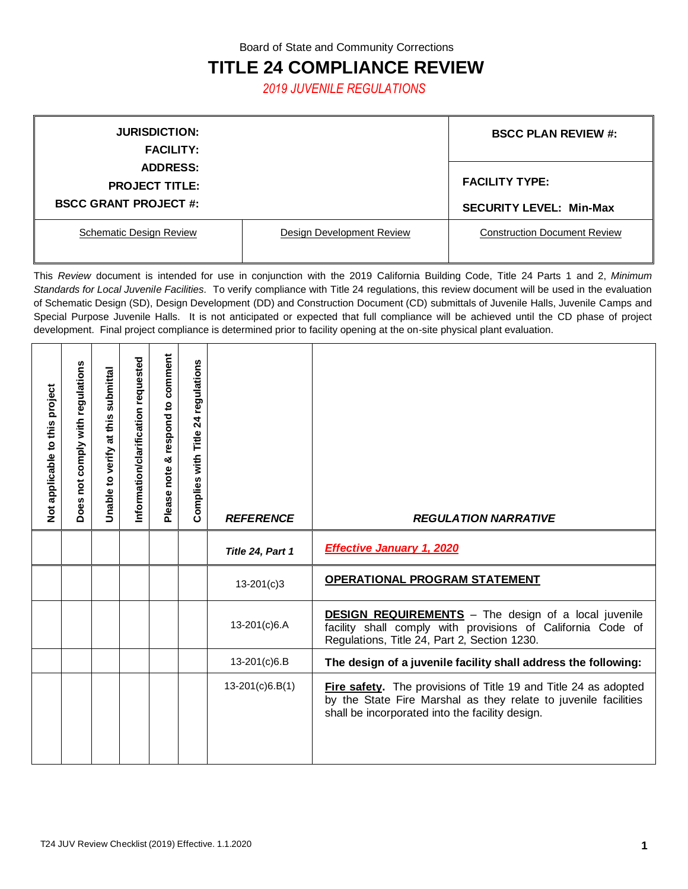Board of State and Community Corrections

## **TITLE 24 COMPLIANCE REVIEW**

*2019 JUVENILE REGULATIONS*

| <b>JURISDICTION:</b>           |                                  | <b>BSCC PLAN REVIEW #:</b>          |
|--------------------------------|----------------------------------|-------------------------------------|
| <b>FACILITY:</b>               |                                  |                                     |
| <b>ADDRESS:</b>                |                                  |                                     |
| <b>PROJECT TITLE:</b>          | <b>FACILITY TYPE:</b>            |                                     |
| <b>BSCC GRANT PROJECT #:</b>   |                                  | <b>SECURITY LEVEL: Min-Max</b>      |
| <b>Schematic Design Review</b> | <b>Design Development Review</b> | <b>Construction Document Review</b> |

This *Review* document is intended for use in conjunction with the 2019 California Building Code, Title 24 Parts 1 and 2, *Minimum Standards for Local Juvenile Facilities.* To verify compliance with Title 24 regulations, this review document will be used in the evaluation of Schematic Design (SD), Design Development (DD) and Construction Document (CD) submittals of Juvenile Halls, Juvenile Camps and Special Purpose Juvenile Halls. It is not anticipated or expected that full compliance will be achieved until the CD phase of project development. Final project compliance is determined prior to facility opening at the on-site physical plant evaluation.

| Not applicable to this project | Does not comply with regulations | Unable to verify at this submittal | Information/clarification requested | Please note & respond to comment | Complies with Title 24 regulations | <b>REFERENCE</b>  | <b>REGULATION NARRATIVE</b>                                                                                                                                                           |
|--------------------------------|----------------------------------|------------------------------------|-------------------------------------|----------------------------------|------------------------------------|-------------------|---------------------------------------------------------------------------------------------------------------------------------------------------------------------------------------|
|                                |                                  |                                    |                                     |                                  |                                    | Title 24, Part 1  | <b>Effective January 1, 2020</b>                                                                                                                                                      |
|                                |                                  |                                    |                                     |                                  |                                    | $13 - 201(c)3$    | <b>OPERATIONAL PROGRAM STATEMENT</b>                                                                                                                                                  |
|                                |                                  |                                    |                                     |                                  |                                    | 13-201(c)6.A      | <b>DESIGN REQUIREMENTS</b> - The design of a local juvenile<br>facility shall comply with provisions of California Code of<br>Regulations, Title 24, Part 2, Section 1230.            |
|                                |                                  |                                    |                                     |                                  |                                    | 13-201(c)6.B      | The design of a juvenile facility shall address the following:                                                                                                                        |
|                                |                                  |                                    |                                     |                                  |                                    | $13-201(c)6.B(1)$ | Fire safety. The provisions of Title 19 and Title 24 as adopted<br>by the State Fire Marshal as they relate to juvenile facilities<br>shall be incorporated into the facility design. |

I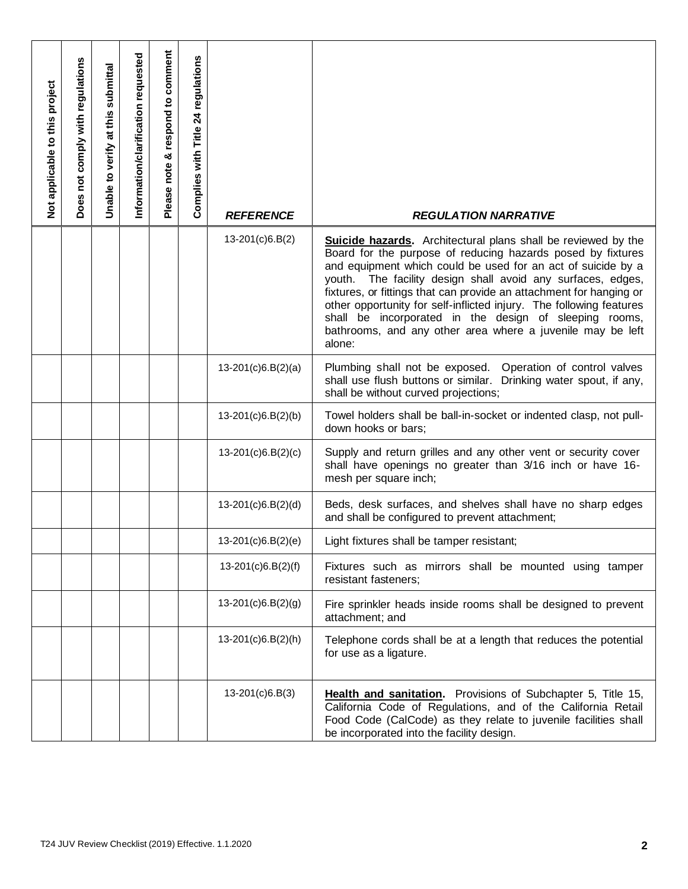| Not applicable to this project | Does not comply with regulations                         | Unable to verify at this submittal | Information/clarification requested | Please note & respond to comment | Complies with Title 24 regulations | <b>REFERENCE</b>     | <b>REGULATION NARRATIVE</b>                                                                                                                                                                                                                                                                                                                                                                                                                                                                                                                        |  |  |  |
|--------------------------------|----------------------------------------------------------|------------------------------------|-------------------------------------|----------------------------------|------------------------------------|----------------------|----------------------------------------------------------------------------------------------------------------------------------------------------------------------------------------------------------------------------------------------------------------------------------------------------------------------------------------------------------------------------------------------------------------------------------------------------------------------------------------------------------------------------------------------------|--|--|--|
|                                |                                                          |                                    |                                     |                                  |                                    | $13-201(c)6.B(2)$    | <b>Suicide hazards.</b> Architectural plans shall be reviewed by the<br>Board for the purpose of reducing hazards posed by fixtures<br>and equipment which could be used for an act of suicide by a<br>youth. The facility design shall avoid any surfaces, edges,<br>fixtures, or fittings that can provide an attachment for hanging or<br>other opportunity for self-inflicted injury. The following features<br>shall be incorporated in the design of sleeping rooms,<br>bathrooms, and any other area where a juvenile may be left<br>alone: |  |  |  |
|                                |                                                          |                                    |                                     |                                  |                                    | $13-201(c)6.B(2)(a)$ | Plumbing shall not be exposed. Operation of control valves<br>shall use flush buttons or similar. Drinking water spout, if any,<br>shall be without curved projections;                                                                                                                                                                                                                                                                                                                                                                            |  |  |  |
|                                |                                                          |                                    |                                     |                                  |                                    | $13-201(c)6.B(2)(b)$ | Towel holders shall be ball-in-socket or indented clasp, not pull-<br>down hooks or bars;                                                                                                                                                                                                                                                                                                                                                                                                                                                          |  |  |  |
|                                |                                                          |                                    |                                     |                                  |                                    | $13-201(c)6.B(2)(c)$ | Supply and return grilles and any other vent or security cover<br>shall have openings no greater than 3/16 inch or have 16-<br>mesh per square inch;                                                                                                                                                                                                                                                                                                                                                                                               |  |  |  |
|                                |                                                          |                                    |                                     |                                  |                                    | $13-201(c)6.B(2)(d)$ | Beds, desk surfaces, and shelves shall have no sharp edges<br>and shall be configured to prevent attachment;                                                                                                                                                                                                                                                                                                                                                                                                                                       |  |  |  |
|                                |                                                          |                                    |                                     |                                  |                                    | 13-201(c)6.B(2)(e)   | Light fixtures shall be tamper resistant;                                                                                                                                                                                                                                                                                                                                                                                                                                                                                                          |  |  |  |
|                                |                                                          |                                    |                                     |                                  |                                    | $13-201(c)6.B(2)(f)$ | Fixtures such as mirrors shall be mounted using tamper<br>resistant fasteners;                                                                                                                                                                                                                                                                                                                                                                                                                                                                     |  |  |  |
|                                |                                                          |                                    |                                     |                                  |                                    | $13-201(c)6.B(2)(g)$ | Fire sprinkler heads inside rooms shall be designed to prevent<br>attachment; and                                                                                                                                                                                                                                                                                                                                                                                                                                                                  |  |  |  |
|                                |                                                          |                                    |                                     |                                  |                                    | $13-201(c)6.B(2)(h)$ | Telephone cords shall be at a length that reduces the potential<br>for use as a ligature.                                                                                                                                                                                                                                                                                                                                                                                                                                                          |  |  |  |
|                                |                                                          |                                    |                                     |                                  |                                    | $13-201(c)6.B(3)$    | Health and sanitation. Provisions of Subchapter 5, Title 15,<br>California Code of Regulations, and of the California Retail<br>Food Code (CalCode) as they relate to juvenile facilities shall<br>be incorporated into the facility design.                                                                                                                                                                                                                                                                                                       |  |  |  |
|                                | T24 JUV Review Checklist (2019) Effective. 1.1.2020<br>2 |                                    |                                     |                                  |                                    |                      |                                                                                                                                                                                                                                                                                                                                                                                                                                                                                                                                                    |  |  |  |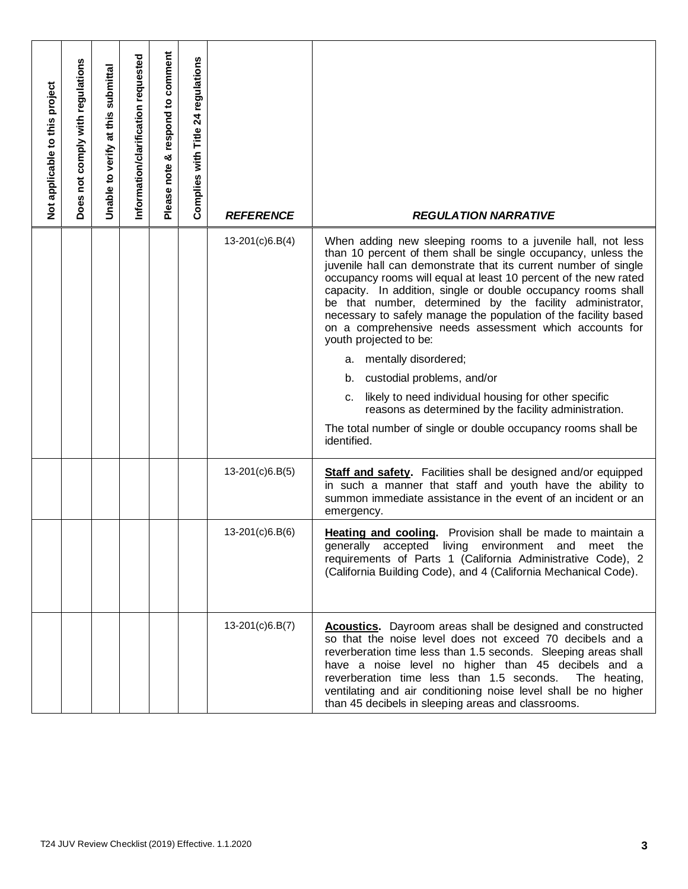| Not applicable to this project | Does not comply with regulations                         | Unable to verify at this submittal | Information/clarification requested | Please note & respond to comment | Complies with Title 24 regulations | <b>REFERENCE</b>  | <b>REGULATION NARRATIVE</b>                                                                                                                                                                                                                                                                                                                                                                                                                                                                                                                                                                                                                                                                                                                                                                                                |  |  |  |
|--------------------------------|----------------------------------------------------------|------------------------------------|-------------------------------------|----------------------------------|------------------------------------|-------------------|----------------------------------------------------------------------------------------------------------------------------------------------------------------------------------------------------------------------------------------------------------------------------------------------------------------------------------------------------------------------------------------------------------------------------------------------------------------------------------------------------------------------------------------------------------------------------------------------------------------------------------------------------------------------------------------------------------------------------------------------------------------------------------------------------------------------------|--|--|--|
|                                |                                                          |                                    |                                     |                                  |                                    | 13-201(c)6.B(4)   | When adding new sleeping rooms to a juvenile hall, not less<br>than 10 percent of them shall be single occupancy, unless the<br>juvenile hall can demonstrate that its current number of single<br>occupancy rooms will equal at least 10 percent of the new rated<br>capacity. In addition, single or double occupancy rooms shall<br>be that number, determined by the facility administrator,<br>necessary to safely manage the population of the facility based<br>on a comprehensive needs assessment which accounts for<br>youth projected to be:<br>a. mentally disordered;<br>b. custodial problems, and/or<br>likely to need individual housing for other specific<br>c.<br>reasons as determined by the facility administration.<br>The total number of single or double occupancy rooms shall be<br>identified. |  |  |  |
|                                |                                                          |                                    |                                     |                                  |                                    | $13-201(c)6.B(5)$ | <b>Staff and safety.</b> Facilities shall be designed and/or equipped<br>in such a manner that staff and youth have the ability to<br>summon immediate assistance in the event of an incident or an<br>emergency.                                                                                                                                                                                                                                                                                                                                                                                                                                                                                                                                                                                                          |  |  |  |
|                                |                                                          |                                    |                                     |                                  |                                    | 13-201(c)6.B(6)   | <b>Heating and cooling.</b> Provision shall be made to maintain a<br>generally accepted living environment and meet the<br>requirements of Parts 1 (California Administrative Code), 2<br>(California Building Code), and 4 (California Mechanical Code).                                                                                                                                                                                                                                                                                                                                                                                                                                                                                                                                                                  |  |  |  |
|                                |                                                          |                                    |                                     |                                  |                                    | 13-201(c)6.B(7)   | <b>Acoustics.</b> Dayroom areas shall be designed and constructed<br>so that the noise level does not exceed 70 decibels and a<br>reverberation time less than 1.5 seconds. Sleeping areas shall<br>have a noise level no higher than 45 decibels and a<br>reverberation time less than 1.5 seconds.<br>The heating,<br>ventilating and air conditioning noise level shall be no higher<br>than 45 decibels in sleeping areas and classrooms.                                                                                                                                                                                                                                                                                                                                                                              |  |  |  |
|                                | T24 JUV Review Checklist (2019) Effective. 1.1.2020<br>3 |                                    |                                     |                                  |                                    |                   |                                                                                                                                                                                                                                                                                                                                                                                                                                                                                                                                                                                                                                                                                                                                                                                                                            |  |  |  |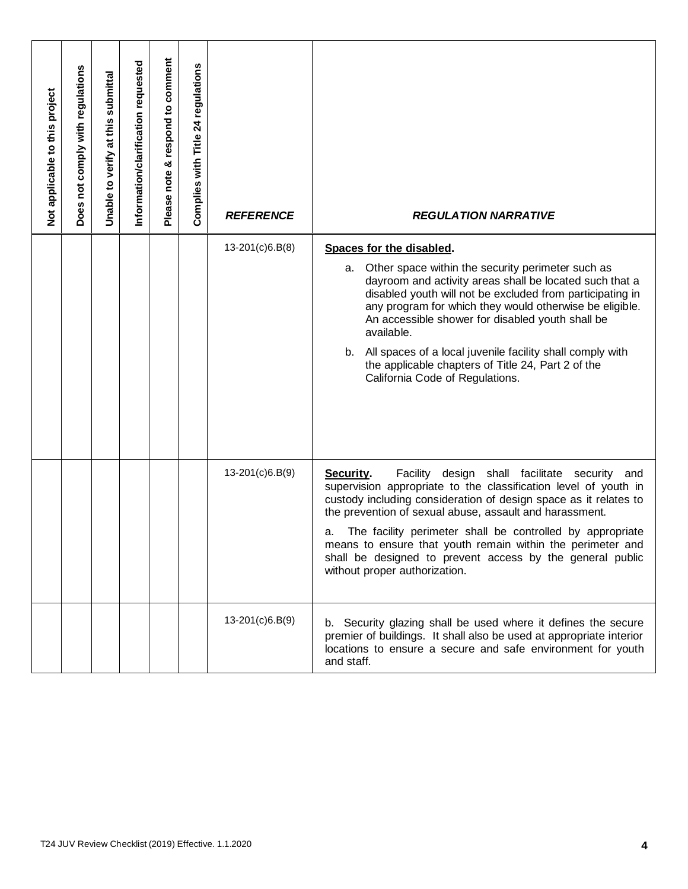| Not applicable to this project | Does not comply with regulations                    | Unable to verify at this submittal | Information/clarification requested | Please note & respond to comment | Complies with Title 24 regulations | <b>REFERENCE</b> | <b>REGULATION NARRATIVE</b>                                                                                                                                                                                                                                                                                                                                                                                                                                              |  |  |  |
|--------------------------------|-----------------------------------------------------|------------------------------------|-------------------------------------|----------------------------------|------------------------------------|------------------|--------------------------------------------------------------------------------------------------------------------------------------------------------------------------------------------------------------------------------------------------------------------------------------------------------------------------------------------------------------------------------------------------------------------------------------------------------------------------|--|--|--|
|                                |                                                     |                                    |                                     |                                  |                                    | 13-201(c)6.B(8)  | Spaces for the disabled.                                                                                                                                                                                                                                                                                                                                                                                                                                                 |  |  |  |
|                                |                                                     |                                    |                                     |                                  |                                    |                  | Other space within the security perimeter such as<br>а.<br>dayroom and activity areas shall be located such that a<br>disabled youth will not be excluded from participating in<br>any program for which they would otherwise be eligible.<br>An accessible shower for disabled youth shall be<br>available.<br>All spaces of a local juvenile facility shall comply with<br>b.<br>the applicable chapters of Title 24, Part 2 of the<br>California Code of Regulations. |  |  |  |
|                                |                                                     |                                    |                                     |                                  |                                    | 13-201(c)6.B(9)  | Security.<br>Facility design shall facilitate security<br>and                                                                                                                                                                                                                                                                                                                                                                                                            |  |  |  |
|                                |                                                     |                                    |                                     |                                  |                                    |                  | supervision appropriate to the classification level of youth in<br>custody including consideration of design space as it relates to<br>the prevention of sexual abuse, assault and harassment.                                                                                                                                                                                                                                                                           |  |  |  |
|                                |                                                     |                                    |                                     |                                  |                                    |                  | The facility perimeter shall be controlled by appropriate<br>a.<br>means to ensure that youth remain within the perimeter and<br>shall be designed to prevent access by the general public<br>without proper authorization.                                                                                                                                                                                                                                              |  |  |  |
|                                |                                                     |                                    |                                     |                                  |                                    | 13-201(c)6.B(9)  | b. Security glazing shall be used where it defines the secure<br>premier of buildings. It shall also be used at appropriate interior<br>locations to ensure a secure and safe environment for youth<br>and staff.                                                                                                                                                                                                                                                        |  |  |  |
|                                | T24 JUV Review Checklist (2019) Effective. 1.1.2020 |                                    |                                     |                                  |                                    |                  |                                                                                                                                                                                                                                                                                                                                                                                                                                                                          |  |  |  |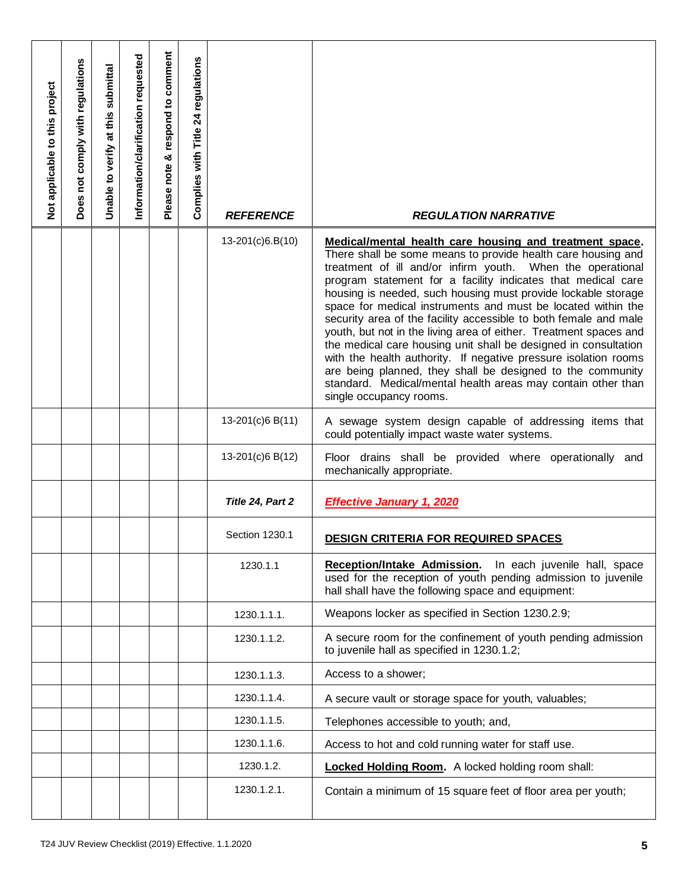| Not applicable to this project | Does not comply with regulations | Unable to verify at this submittal | Information/clarification requested | Please note & respond to comment | Complies with Title 24 regulations | <b>REFERENCE</b>                                    | <b>REGULATION NARRATIVE</b>                                                                                                                                                                                                                                                                                                                                                                                                                                                                                                                                                                                                                                                                                                                                                                         |
|--------------------------------|----------------------------------|------------------------------------|-------------------------------------|----------------------------------|------------------------------------|-----------------------------------------------------|-----------------------------------------------------------------------------------------------------------------------------------------------------------------------------------------------------------------------------------------------------------------------------------------------------------------------------------------------------------------------------------------------------------------------------------------------------------------------------------------------------------------------------------------------------------------------------------------------------------------------------------------------------------------------------------------------------------------------------------------------------------------------------------------------------|
|                                |                                  |                                    |                                     |                                  |                                    | 13-201(c)6.B(10)                                    | Medical/mental health care housing and treatment space.<br>There shall be some means to provide health care housing and<br>treatment of ill and/or infirm youth. When the operational<br>program statement for a facility indicates that medical care<br>housing is needed, such housing must provide lockable storage<br>space for medical instruments and must be located within the<br>security area of the facility accessible to both female and male<br>youth, but not in the living area of either. Treatment spaces and<br>the medical care housing unit shall be designed in consultation<br>with the health authority. If negative pressure isolation rooms<br>are being planned, they shall be designed to the community<br>standard. Medical/mental health areas may contain other than |
|                                |                                  |                                    |                                     |                                  |                                    | 13-201(c)6 B(11)                                    | single occupancy rooms.<br>A sewage system design capable of addressing items that<br>could potentially impact waste water systems.                                                                                                                                                                                                                                                                                                                                                                                                                                                                                                                                                                                                                                                                 |
|                                |                                  |                                    |                                     |                                  |                                    | 13-201(c)6 B(12)                                    | Floor drains shall be provided where operationally and<br>mechanically appropriate.                                                                                                                                                                                                                                                                                                                                                                                                                                                                                                                                                                                                                                                                                                                 |
|                                |                                  |                                    |                                     |                                  |                                    | Title 24, Part 2                                    | <b>Effective January 1, 2020</b>                                                                                                                                                                                                                                                                                                                                                                                                                                                                                                                                                                                                                                                                                                                                                                    |
|                                |                                  |                                    |                                     |                                  |                                    | Section 1230.1                                      | <b>DESIGN CRITERIA FOR REQUIRED SPACES</b>                                                                                                                                                                                                                                                                                                                                                                                                                                                                                                                                                                                                                                                                                                                                                          |
|                                |                                  |                                    |                                     |                                  |                                    | 1230.1.1                                            | <b>Reception/Intake Admission.</b><br>In each juvenile hall, space<br>used for the reception of youth pending admission to juvenile<br>hall shall have the following space and equipment:                                                                                                                                                                                                                                                                                                                                                                                                                                                                                                                                                                                                           |
|                                |                                  |                                    |                                     |                                  |                                    | 1230.1.1.1.                                         | Weapons locker as specified in Section 1230.2.9;                                                                                                                                                                                                                                                                                                                                                                                                                                                                                                                                                                                                                                                                                                                                                    |
|                                |                                  |                                    |                                     |                                  |                                    | 1230.1.1.2.                                         | A secure room for the confinement of youth pending admission<br>to juvenile hall as specified in 1230.1.2;                                                                                                                                                                                                                                                                                                                                                                                                                                                                                                                                                                                                                                                                                          |
|                                |                                  |                                    |                                     |                                  |                                    | 1230.1.1.3.                                         | Access to a shower;                                                                                                                                                                                                                                                                                                                                                                                                                                                                                                                                                                                                                                                                                                                                                                                 |
|                                |                                  |                                    |                                     |                                  |                                    | 1230.1.1.4.                                         | A secure vault or storage space for youth, valuables;                                                                                                                                                                                                                                                                                                                                                                                                                                                                                                                                                                                                                                                                                                                                               |
|                                |                                  |                                    |                                     |                                  |                                    | 1230.1.1.5.                                         | Telephones accessible to youth; and,                                                                                                                                                                                                                                                                                                                                                                                                                                                                                                                                                                                                                                                                                                                                                                |
|                                |                                  |                                    |                                     |                                  |                                    | 1230.1.1.6.                                         | Access to hot and cold running water for staff use.                                                                                                                                                                                                                                                                                                                                                                                                                                                                                                                                                                                                                                                                                                                                                 |
|                                |                                  |                                    |                                     |                                  |                                    | 1230.1.2.                                           | Locked Holding Room. A locked holding room shall:                                                                                                                                                                                                                                                                                                                                                                                                                                                                                                                                                                                                                                                                                                                                                   |
|                                |                                  |                                    |                                     |                                  |                                    | 1230.1.2.1.                                         | Contain a minimum of 15 square feet of floor area per youth;                                                                                                                                                                                                                                                                                                                                                                                                                                                                                                                                                                                                                                                                                                                                        |
|                                |                                  |                                    |                                     |                                  |                                    | T24 JUV Review Checklist (2019) Effective. 1.1.2020 | 5                                                                                                                                                                                                                                                                                                                                                                                                                                                                                                                                                                                                                                                                                                                                                                                                   |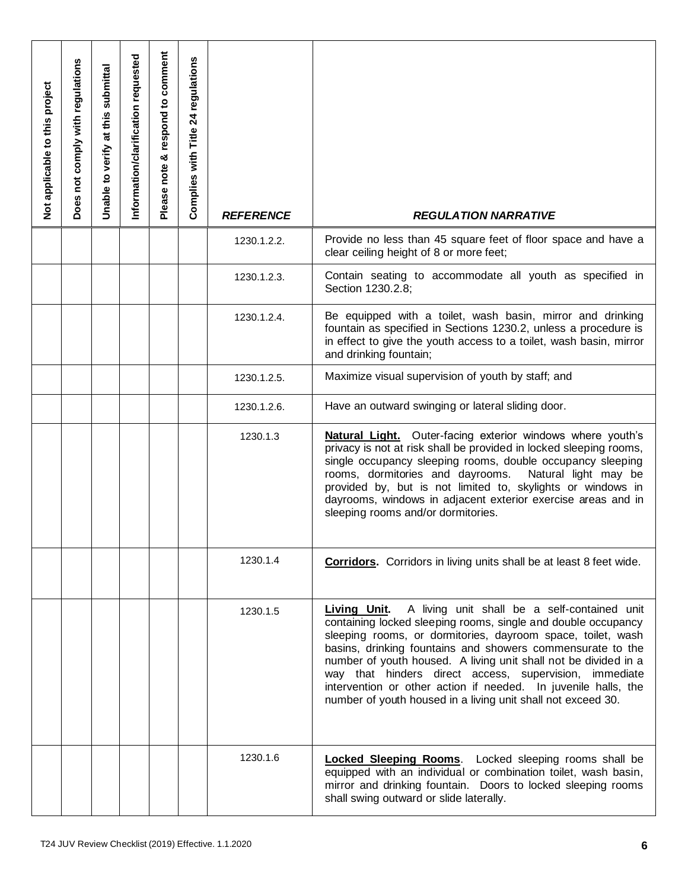| Not applicable to this project | Does not comply with regulations | Unable to verify at this submittal | Information/clarification requested | Please note & respond to comment | Complies with Title 24 regulations | <b>REFERENCE</b>                                    | <b>REGULATION NARRATIVE</b>                                                                                                                                                                                                                                                                                                                                                                                                                                                                                               |
|--------------------------------|----------------------------------|------------------------------------|-------------------------------------|----------------------------------|------------------------------------|-----------------------------------------------------|---------------------------------------------------------------------------------------------------------------------------------------------------------------------------------------------------------------------------------------------------------------------------------------------------------------------------------------------------------------------------------------------------------------------------------------------------------------------------------------------------------------------------|
|                                |                                  |                                    |                                     |                                  |                                    | 1230.1.2.2.                                         | Provide no less than 45 square feet of floor space and have a<br>clear ceiling height of 8 or more feet;                                                                                                                                                                                                                                                                                                                                                                                                                  |
|                                |                                  |                                    |                                     |                                  |                                    | 1230.1.2.3.                                         | Contain seating to accommodate all youth as specified in<br>Section 1230.2.8;                                                                                                                                                                                                                                                                                                                                                                                                                                             |
|                                |                                  |                                    |                                     |                                  |                                    | 1230.1.2.4.                                         | Be equipped with a toilet, wash basin, mirror and drinking<br>fountain as specified in Sections 1230.2, unless a procedure is<br>in effect to give the youth access to a toilet, wash basin, mirror<br>and drinking fountain;                                                                                                                                                                                                                                                                                             |
|                                |                                  |                                    |                                     |                                  |                                    | 1230.1.2.5.                                         | Maximize visual supervision of youth by staff; and                                                                                                                                                                                                                                                                                                                                                                                                                                                                        |
|                                |                                  |                                    |                                     |                                  |                                    | 1230.1.2.6.                                         | Have an outward swinging or lateral sliding door.                                                                                                                                                                                                                                                                                                                                                                                                                                                                         |
|                                |                                  |                                    |                                     |                                  |                                    | 1230.1.3                                            | <b>Natural Light.</b> Outer-facing exterior windows where youth's<br>privacy is not at risk shall be provided in locked sleeping rooms,<br>single occupancy sleeping rooms, double occupancy sleeping<br>rooms, dormitories and dayrooms.<br>Natural light may be<br>provided by, but is not limited to, skylights or windows in<br>dayrooms, windows in adjacent exterior exercise areas and in<br>sleeping rooms and/or dormitories.                                                                                    |
|                                |                                  |                                    |                                     |                                  |                                    | 1230.1.4                                            | <b>Corridors.</b> Corridors in living units shall be at least 8 feet wide.                                                                                                                                                                                                                                                                                                                                                                                                                                                |
|                                |                                  |                                    |                                     |                                  |                                    | 1230.1.5                                            | A living unit shall be a self-contained unit<br>Living Unit.<br>containing locked sleeping rooms, single and double occupancy<br>sleeping rooms, or dormitories, dayroom space, toilet, wash<br>basins, drinking fountains and showers commensurate to the<br>number of youth housed. A living unit shall not be divided in a<br>way that hinders direct access, supervision, immediate<br>intervention or other action if needed. In juvenile halls, the<br>number of youth housed in a living unit shall not exceed 30. |
|                                |                                  |                                    |                                     |                                  |                                    | 1230.1.6                                            | <b>Locked Sleeping Rooms</b> . Locked sleeping rooms shall be<br>equipped with an individual or combination toilet, wash basin,<br>mirror and drinking fountain. Doors to locked sleeping rooms<br>shall swing outward or slide laterally.                                                                                                                                                                                                                                                                                |
|                                |                                  |                                    |                                     |                                  |                                    | T24 JUV Review Checklist (2019) Effective. 1.1.2020 | 6                                                                                                                                                                                                                                                                                                                                                                                                                                                                                                                         |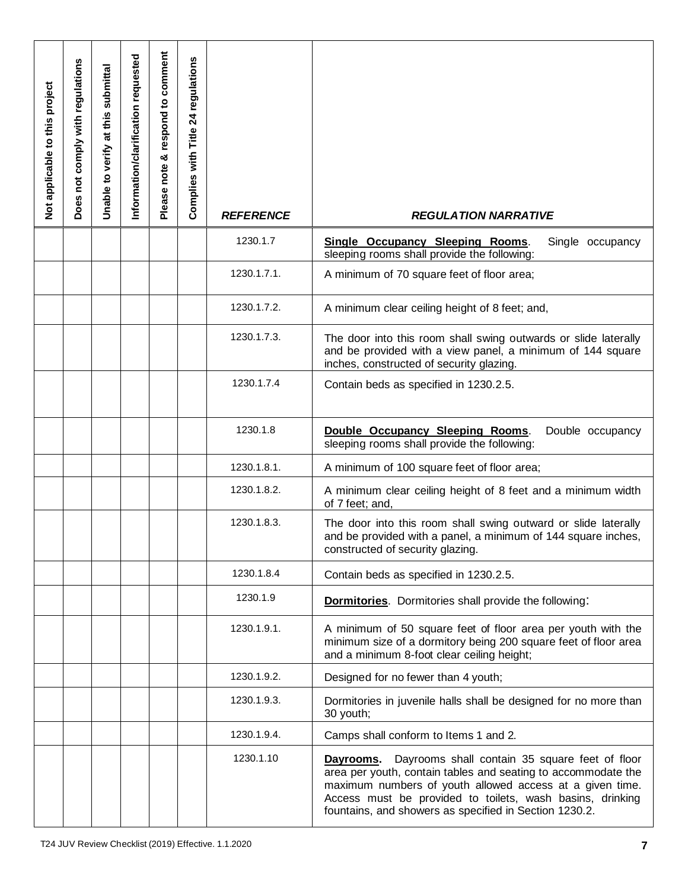| Not applicable to this project | not comply with regulations<br><b>Does</b> | submittal<br>at this<br>verify<br>Unable <sub>to</sub> | Information/clarification requested | Please note & respond to comment | regulations<br>24<br>Complies with Title | <b>REFERENCE</b>                                    | <b>REGULATION NARRATIVE</b>                                                                                                                                                                                                                                                                                     |
|--------------------------------|--------------------------------------------|--------------------------------------------------------|-------------------------------------|----------------------------------|------------------------------------------|-----------------------------------------------------|-----------------------------------------------------------------------------------------------------------------------------------------------------------------------------------------------------------------------------------------------------------------------------------------------------------------|
|                                |                                            |                                                        |                                     |                                  |                                          | 1230.1.7                                            | <b>Single Occupancy Sleeping Rooms.</b><br>Single occupancy<br>sleeping rooms shall provide the following:                                                                                                                                                                                                      |
|                                |                                            |                                                        |                                     |                                  |                                          | 1230.1.7.1.                                         | A minimum of 70 square feet of floor area;                                                                                                                                                                                                                                                                      |
|                                |                                            |                                                        |                                     |                                  |                                          | 1230.1.7.2.                                         | A minimum clear ceiling height of 8 feet; and,                                                                                                                                                                                                                                                                  |
|                                |                                            |                                                        |                                     |                                  |                                          | 1230.1.7.3.                                         | The door into this room shall swing outwards or slide laterally<br>and be provided with a view panel, a minimum of 144 square<br>inches, constructed of security glazing.                                                                                                                                       |
|                                |                                            |                                                        |                                     |                                  |                                          | 1230.1.7.4                                          | Contain beds as specified in 1230.2.5.                                                                                                                                                                                                                                                                          |
|                                |                                            |                                                        |                                     |                                  |                                          | 1230.1.8                                            | Double Occupancy Sleeping Rooms.<br>Double occupancy<br>sleeping rooms shall provide the following:                                                                                                                                                                                                             |
|                                |                                            |                                                        |                                     |                                  |                                          | 1230.1.8.1.                                         | A minimum of 100 square feet of floor area;                                                                                                                                                                                                                                                                     |
|                                |                                            |                                                        |                                     |                                  |                                          | 1230.1.8.2.                                         | A minimum clear ceiling height of 8 feet and a minimum width<br>of 7 feet; and.                                                                                                                                                                                                                                 |
|                                |                                            |                                                        |                                     |                                  |                                          | 1230.1.8.3.                                         | The door into this room shall swing outward or slide laterally<br>and be provided with a panel, a minimum of 144 square inches,<br>constructed of security glazing.                                                                                                                                             |
|                                |                                            |                                                        |                                     |                                  |                                          | 1230.1.8.4                                          | Contain beds as specified in 1230.2.5.                                                                                                                                                                                                                                                                          |
|                                |                                            |                                                        |                                     |                                  |                                          | 1230.1.9                                            | <b>Dormitories</b> . Dormitories shall provide the following:                                                                                                                                                                                                                                                   |
|                                |                                            |                                                        |                                     |                                  |                                          | 1230.1.9.1.                                         | A minimum of 50 square feet of floor area per youth with the<br>minimum size of a dormitory being 200 square feet of floor area<br>and a minimum 8-foot clear ceiling height;                                                                                                                                   |
|                                |                                            |                                                        |                                     |                                  |                                          | 1230.1.9.2.                                         | Designed for no fewer than 4 youth;                                                                                                                                                                                                                                                                             |
|                                |                                            |                                                        |                                     |                                  |                                          | 1230.1.9.3.                                         | Dormitories in juvenile halls shall be designed for no more than<br>30 youth;                                                                                                                                                                                                                                   |
|                                |                                            |                                                        |                                     |                                  |                                          | 1230.1.9.4.                                         | Camps shall conform to Items 1 and 2.                                                                                                                                                                                                                                                                           |
|                                |                                            |                                                        |                                     |                                  |                                          | 1230.1.10                                           | Dayrooms shall contain 35 square feet of floor<br>Dayrooms.<br>area per youth, contain tables and seating to accommodate the<br>maximum numbers of youth allowed access at a given time.<br>Access must be provided to toilets, wash basins, drinking<br>fountains, and showers as specified in Section 1230.2. |
|                                |                                            |                                                        |                                     |                                  |                                          | T24 JUV Review Checklist (2019) Effective. 1.1.2020 | 7                                                                                                                                                                                                                                                                                                               |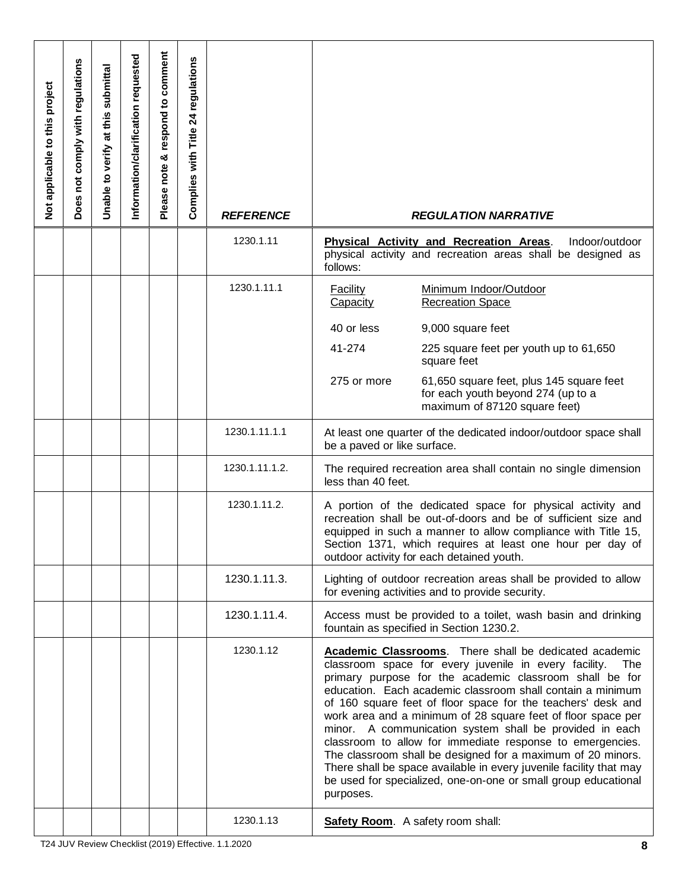| Not applicable to this project | not comply with regulations<br>Does | submittal<br>at this<br>verify<br>Unable <sub>to</sub> | Information/clarification requested | respond to comment<br>ಯ<br>Please note | regulations<br>24<br>with Title<br>Complies | <b>REFERENCE</b>                                    | <b>REGULATION NARRATIVE</b>                                                                                                                                                                                                                                                                                                                                                                                                                                                                                                                                                                                                                                                                                                 |
|--------------------------------|-------------------------------------|--------------------------------------------------------|-------------------------------------|----------------------------------------|---------------------------------------------|-----------------------------------------------------|-----------------------------------------------------------------------------------------------------------------------------------------------------------------------------------------------------------------------------------------------------------------------------------------------------------------------------------------------------------------------------------------------------------------------------------------------------------------------------------------------------------------------------------------------------------------------------------------------------------------------------------------------------------------------------------------------------------------------------|
|                                |                                     |                                                        |                                     |                                        |                                             | 1230.1.11                                           | Physical Activity and Recreation Areas.<br>Indoor/outdoor<br>physical activity and recreation areas shall be designed as<br>follows:                                                                                                                                                                                                                                                                                                                                                                                                                                                                                                                                                                                        |
|                                |                                     |                                                        |                                     |                                        |                                             | 1230.1.11.1                                         | <b>Facility</b><br>Minimum Indoor/Outdoor<br>Capacity<br><b>Recreation Space</b><br>40 or less<br>9,000 square feet<br>41-274<br>225 square feet per youth up to 61,650<br>square feet<br>275 or more<br>61,650 square feet, plus 145 square feet<br>for each youth beyond 274 (up to a<br>maximum of 87120 square feet)                                                                                                                                                                                                                                                                                                                                                                                                    |
|                                |                                     |                                                        |                                     |                                        |                                             | 1230.1.11.1.1                                       | At least one quarter of the dedicated indoor/outdoor space shall<br>be a paved or like surface.                                                                                                                                                                                                                                                                                                                                                                                                                                                                                                                                                                                                                             |
|                                |                                     |                                                        |                                     |                                        |                                             | 1230.1.11.1.2.                                      | The required recreation area shall contain no single dimension<br>less than 40 feet.                                                                                                                                                                                                                                                                                                                                                                                                                                                                                                                                                                                                                                        |
|                                |                                     |                                                        |                                     |                                        |                                             | 1230.1.11.2.                                        | A portion of the dedicated space for physical activity and<br>recreation shall be out-of-doors and be of sufficient size and<br>equipped in such a manner to allow compliance with Title 15,<br>Section 1371, which requires at least one hour per day of<br>outdoor activity for each detained youth.                                                                                                                                                                                                                                                                                                                                                                                                                      |
|                                |                                     |                                                        |                                     |                                        |                                             | 1230.1.11.3.                                        | Lighting of outdoor recreation areas shall be provided to allow<br>for evening activities and to provide security.                                                                                                                                                                                                                                                                                                                                                                                                                                                                                                                                                                                                          |
|                                |                                     |                                                        |                                     |                                        |                                             | 1230.1.11.4.                                        | Access must be provided to a toilet, wash basin and drinking<br>fountain as specified in Section 1230.2.                                                                                                                                                                                                                                                                                                                                                                                                                                                                                                                                                                                                                    |
|                                |                                     |                                                        |                                     |                                        |                                             | 1230.1.12                                           | Academic Classrooms. There shall be dedicated academic<br>classroom space for every juvenile in every facility.<br>The<br>primary purpose for the academic classroom shall be for<br>education. Each academic classroom shall contain a minimum<br>of 160 square feet of floor space for the teachers' desk and<br>work area and a minimum of 28 square feet of floor space per<br>minor. A communication system shall be provided in each<br>classroom to allow for immediate response to emergencies.<br>The classroom shall be designed for a maximum of 20 minors.<br>There shall be space available in every juvenile facility that may<br>be used for specialized, one-on-one or small group educational<br>purposes. |
|                                |                                     |                                                        |                                     |                                        |                                             | 1230.1.13                                           | <b>Safety Room.</b> A safety room shall:                                                                                                                                                                                                                                                                                                                                                                                                                                                                                                                                                                                                                                                                                    |
|                                |                                     |                                                        |                                     |                                        |                                             | T24 JUV Review Checklist (2019) Effective. 1.1.2020 | 8                                                                                                                                                                                                                                                                                                                                                                                                                                                                                                                                                                                                                                                                                                                           |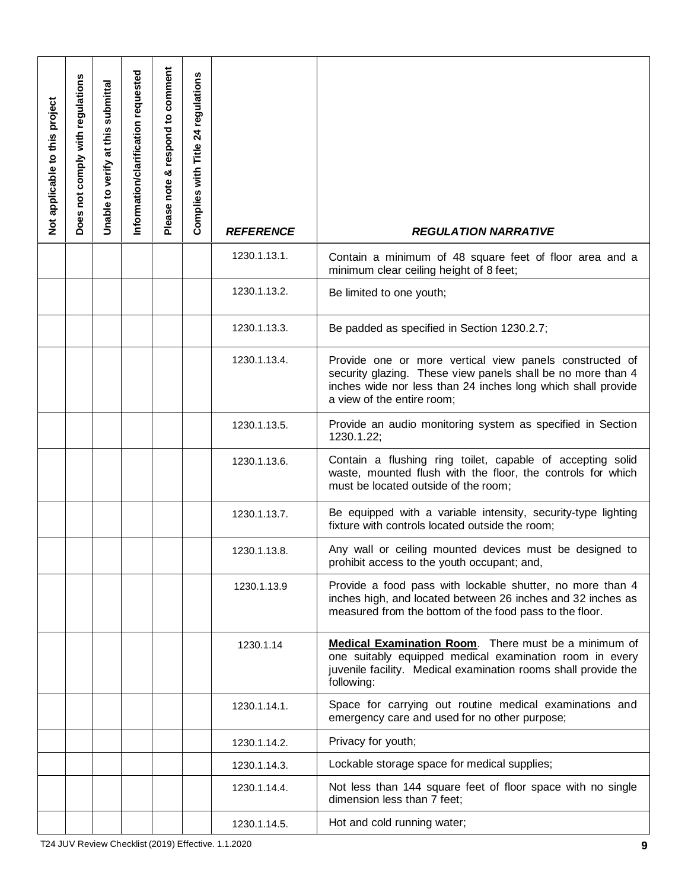| Not applicable to this project | Does not comply with regulations | Unable to verify at this submittal | Information/clarification requested | Please note & respond to comment | Complies with Title 24 regulations | <b>REFERENCE</b>                                    | <b>REGULATION NARRATIVE</b>                                                                                                                                                                                          |
|--------------------------------|----------------------------------|------------------------------------|-------------------------------------|----------------------------------|------------------------------------|-----------------------------------------------------|----------------------------------------------------------------------------------------------------------------------------------------------------------------------------------------------------------------------|
|                                |                                  |                                    |                                     |                                  |                                    | 1230.1.13.1.                                        | Contain a minimum of 48 square feet of floor area and a<br>minimum clear ceiling height of 8 feet;                                                                                                                   |
|                                |                                  |                                    |                                     |                                  |                                    | 1230.1.13.2.                                        | Be limited to one youth;                                                                                                                                                                                             |
|                                |                                  |                                    |                                     |                                  |                                    | 1230.1.13.3.                                        | Be padded as specified in Section 1230.2.7;                                                                                                                                                                          |
|                                |                                  |                                    |                                     |                                  |                                    | 1230.1.13.4.                                        | Provide one or more vertical view panels constructed of<br>security glazing. These view panels shall be no more than 4<br>inches wide nor less than 24 inches long which shall provide<br>a view of the entire room; |
|                                |                                  |                                    |                                     |                                  |                                    | 1230.1.13.5.                                        | Provide an audio monitoring system as specified in Section<br>1230.1.22;                                                                                                                                             |
|                                |                                  |                                    |                                     |                                  |                                    | 1230.1.13.6.                                        | Contain a flushing ring toilet, capable of accepting solid<br>waste, mounted flush with the floor, the controls for which<br>must be located outside of the room;                                                    |
|                                |                                  |                                    |                                     |                                  |                                    | 1230.1.13.7.                                        | Be equipped with a variable intensity, security-type lighting<br>fixture with controls located outside the room;                                                                                                     |
|                                |                                  |                                    |                                     |                                  |                                    | 1230.1.13.8.                                        | Any wall or ceiling mounted devices must be designed to<br>prohibit access to the youth occupant; and,                                                                                                               |
|                                |                                  |                                    |                                     |                                  |                                    | 1230.1.13.9                                         | Provide a food pass with lockable shutter, no more than 4<br>inches high, and located between 26 inches and 32 inches as<br>measured from the bottom of the food pass to the floor.                                  |
|                                |                                  |                                    |                                     |                                  |                                    | 1230.1.14                                           | Medical Examination Room. There must be a minimum of<br>one suitably equipped medical examination room in every<br>juvenile facility. Medical examination rooms shall provide the<br>following:                      |
|                                |                                  |                                    |                                     |                                  |                                    | 1230.1.14.1.                                        | Space for carrying out routine medical examinations and<br>emergency care and used for no other purpose;                                                                                                             |
|                                |                                  |                                    |                                     |                                  |                                    | 1230.1.14.2.                                        | Privacy for youth;                                                                                                                                                                                                   |
|                                |                                  |                                    |                                     |                                  |                                    | 1230.1.14.3.                                        | Lockable storage space for medical supplies;                                                                                                                                                                         |
|                                |                                  |                                    |                                     |                                  |                                    | 1230.1.14.4.                                        | Not less than 144 square feet of floor space with no single<br>dimension less than 7 feet;                                                                                                                           |
|                                |                                  |                                    |                                     |                                  |                                    | 1230.1.14.5.                                        | Hot and cold running water;                                                                                                                                                                                          |
|                                |                                  |                                    |                                     |                                  |                                    | T24 JUV Review Checklist (2019) Effective. 1.1.2020 | 9                                                                                                                                                                                                                    |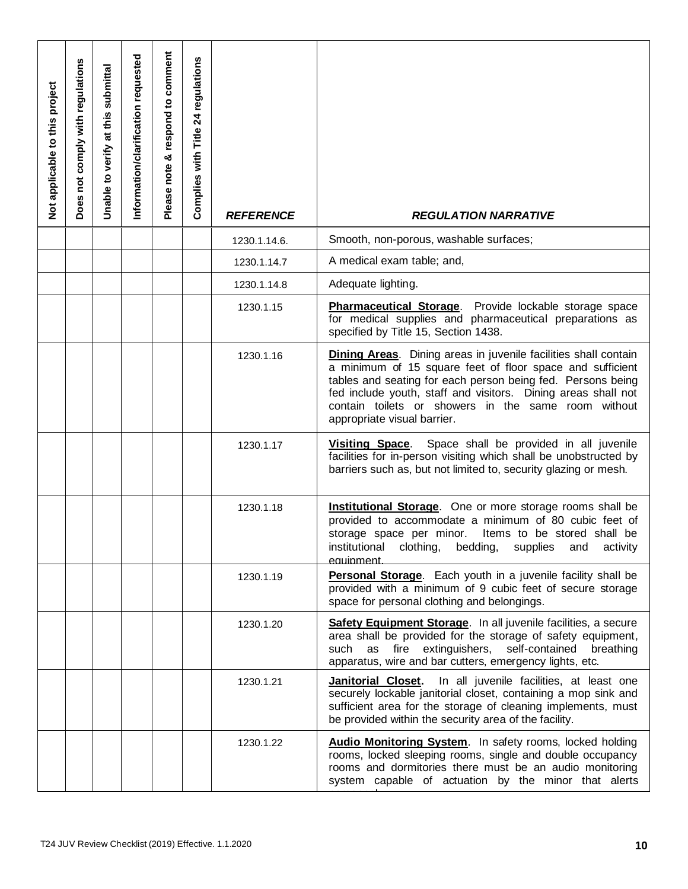| Not applicable to this project | Does not comply with regulations | Unable to verify at this submittal | Information/clarification requested | Please note & respond to comment | Complies with Title 24 regulations | <b>REFERENCE</b>                                    | <b>REGULATION NARRATIVE</b>                                                                                                                                                                                                                                                                                                                               |
|--------------------------------|----------------------------------|------------------------------------|-------------------------------------|----------------------------------|------------------------------------|-----------------------------------------------------|-----------------------------------------------------------------------------------------------------------------------------------------------------------------------------------------------------------------------------------------------------------------------------------------------------------------------------------------------------------|
|                                |                                  |                                    |                                     |                                  |                                    | 1230.1.14.6.                                        | Smooth, non-porous, washable surfaces;                                                                                                                                                                                                                                                                                                                    |
|                                |                                  |                                    |                                     |                                  |                                    | 1230.1.14.7                                         | A medical exam table; and,                                                                                                                                                                                                                                                                                                                                |
|                                |                                  |                                    |                                     |                                  |                                    | 1230.1.14.8                                         | Adequate lighting.                                                                                                                                                                                                                                                                                                                                        |
|                                |                                  |                                    |                                     |                                  |                                    | 1230.1.15                                           | Pharmaceutical Storage. Provide lockable storage space<br>for medical supplies and pharmaceutical preparations as<br>specified by Title 15, Section 1438.                                                                                                                                                                                                 |
|                                |                                  |                                    |                                     |                                  |                                    | 1230.1.16                                           | <b>Dining Areas.</b> Dining areas in juvenile facilities shall contain<br>a minimum of 15 square feet of floor space and sufficient<br>tables and seating for each person being fed. Persons being<br>fed include youth, staff and visitors. Dining areas shall not<br>contain toilets or showers in the same room without<br>appropriate visual barrier. |
|                                |                                  |                                    |                                     |                                  |                                    | 1230.1.17                                           | Space shall be provided in all juvenile<br><b>Visiting Space.</b><br>facilities for in-person visiting which shall be unobstructed by<br>barriers such as, but not limited to, security glazing or mesh.                                                                                                                                                  |
|                                |                                  |                                    |                                     |                                  |                                    | 1230.1.18                                           | <b>Institutional Storage.</b> One or more storage rooms shall be<br>provided to accommodate a minimum of 80 cubic feet of<br>storage space per minor.<br>Items to be stored shall be<br>institutional<br>clothing,<br>bedding,<br>supplies<br>activity<br>and<br>equipment.                                                                               |
|                                |                                  |                                    |                                     |                                  |                                    | 1230.1.19                                           | <b>Personal Storage</b> . Each youth in a juvenile facility shall be<br>provided with a minimum of 9 cubic feet of secure storage<br>space for personal clothing and belongings.                                                                                                                                                                          |
|                                |                                  |                                    |                                     |                                  |                                    | 1230.1.20                                           | Safety Equipment Storage. In all juvenile facilities, a secure<br>area shall be provided for the storage of safety equipment,<br>as fire extinguishers, self-contained<br>such<br>breathing<br>apparatus, wire and bar cutters, emergency lights, etc.                                                                                                    |
|                                |                                  |                                    |                                     |                                  |                                    | 1230.1.21                                           | In all juvenile facilities, at least one<br>Janitorial Closet.<br>securely lockable janitorial closet, containing a mop sink and<br>sufficient area for the storage of cleaning implements, must<br>be provided within the security area of the facility.                                                                                                 |
|                                |                                  |                                    |                                     |                                  |                                    | 1230.1.22                                           | <b>Audio Monitoring System.</b> In safety rooms, locked holding<br>rooms, locked sleeping rooms, single and double occupancy<br>rooms and dormitories there must be an audio monitoring<br>system capable of actuation by the minor that alerts                                                                                                           |
|                                |                                  |                                    |                                     |                                  |                                    | T24 JUV Review Checklist (2019) Effective. 1.1.2020 | 10                                                                                                                                                                                                                                                                                                                                                        |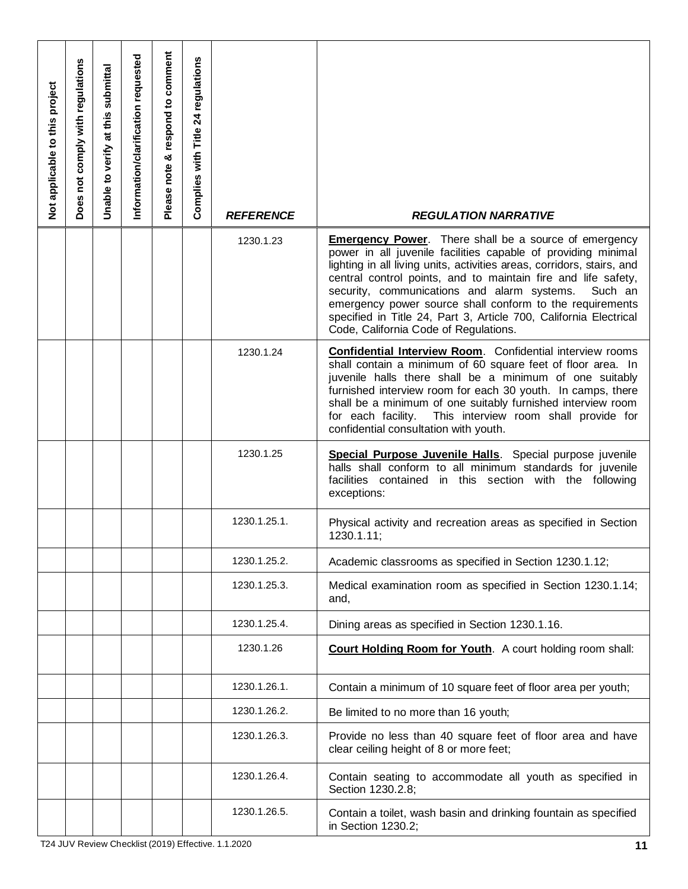| Not applicable to this project | Does not comply with regulations | Unable to verify at this submittal | Information/clarification requested | Please note & respond to comment | Complies with Title 24 regulations | <b>REFERENCE</b>                                    | <b>REGULATION NARRATIVE</b>                                                                                                                                                                                                                                                                                                                                                                                                                                                                                  |
|--------------------------------|----------------------------------|------------------------------------|-------------------------------------|----------------------------------|------------------------------------|-----------------------------------------------------|--------------------------------------------------------------------------------------------------------------------------------------------------------------------------------------------------------------------------------------------------------------------------------------------------------------------------------------------------------------------------------------------------------------------------------------------------------------------------------------------------------------|
|                                |                                  |                                    |                                     |                                  |                                    | 1230.1.23                                           | <b>Emergency Power.</b> There shall be a source of emergency<br>power in all juvenile facilities capable of providing minimal<br>lighting in all living units, activities areas, corridors, stairs, and<br>central control points, and to maintain fire and life safety,<br>security, communications and alarm systems.<br>Such an<br>emergency power source shall conform to the requirements<br>specified in Title 24, Part 3, Article 700, California Electrical<br>Code, California Code of Regulations. |
|                                |                                  |                                    |                                     |                                  |                                    | 1230.1.24                                           | <b>Confidential Interview Room.</b> Confidential interview rooms<br>shall contain a minimum of 60 square feet of floor area. In<br>juvenile halls there shall be a minimum of one suitably<br>furnished interview room for each 30 youth. In camps, there<br>shall be a minimum of one suitably furnished interview room<br>for each facility.<br>This interview room shall provide for<br>confidential consultation with youth.                                                                             |
|                                |                                  |                                    |                                     |                                  |                                    | 1230.1.25                                           | Special Purpose Juvenile Halls. Special purpose juvenile<br>halls shall conform to all minimum standards for juvenile<br>facilities contained in this section with the following<br>exceptions:                                                                                                                                                                                                                                                                                                              |
|                                |                                  |                                    |                                     |                                  |                                    | 1230.1.25.1.                                        | Physical activity and recreation areas as specified in Section<br>1230.1.11;                                                                                                                                                                                                                                                                                                                                                                                                                                 |
|                                |                                  |                                    |                                     |                                  |                                    | 1230.1.25.2.                                        | Academic classrooms as specified in Section 1230.1.12;                                                                                                                                                                                                                                                                                                                                                                                                                                                       |
|                                |                                  |                                    |                                     |                                  |                                    | 1230.1.25.3.                                        | Medical examination room as specified in Section 1230.1.14;<br>and,                                                                                                                                                                                                                                                                                                                                                                                                                                          |
|                                |                                  |                                    |                                     |                                  |                                    | 1230.1.25.4.                                        | Dining areas as specified in Section 1230.1.16.                                                                                                                                                                                                                                                                                                                                                                                                                                                              |
|                                |                                  |                                    |                                     |                                  |                                    | 1230.1.26                                           | Court Holding Room for Youth. A court holding room shall:                                                                                                                                                                                                                                                                                                                                                                                                                                                    |
|                                |                                  |                                    |                                     |                                  |                                    | 1230.1.26.1.                                        | Contain a minimum of 10 square feet of floor area per youth;                                                                                                                                                                                                                                                                                                                                                                                                                                                 |
|                                |                                  |                                    |                                     |                                  |                                    | 1230.1.26.2.                                        | Be limited to no more than 16 youth;                                                                                                                                                                                                                                                                                                                                                                                                                                                                         |
|                                |                                  |                                    |                                     |                                  |                                    | 1230.1.26.3.                                        | Provide no less than 40 square feet of floor area and have<br>clear ceiling height of 8 or more feet;                                                                                                                                                                                                                                                                                                                                                                                                        |
|                                |                                  |                                    |                                     |                                  |                                    | 1230.1.26.4.                                        | Contain seating to accommodate all youth as specified in<br>Section 1230.2.8;                                                                                                                                                                                                                                                                                                                                                                                                                                |
|                                |                                  |                                    |                                     |                                  |                                    | 1230.1.26.5.                                        | Contain a toilet, wash basin and drinking fountain as specified<br>in Section 1230.2;                                                                                                                                                                                                                                                                                                                                                                                                                        |
|                                |                                  |                                    |                                     |                                  |                                    | T24 JUV Review Checklist (2019) Effective. 1.1.2020 | 11                                                                                                                                                                                                                                                                                                                                                                                                                                                                                                           |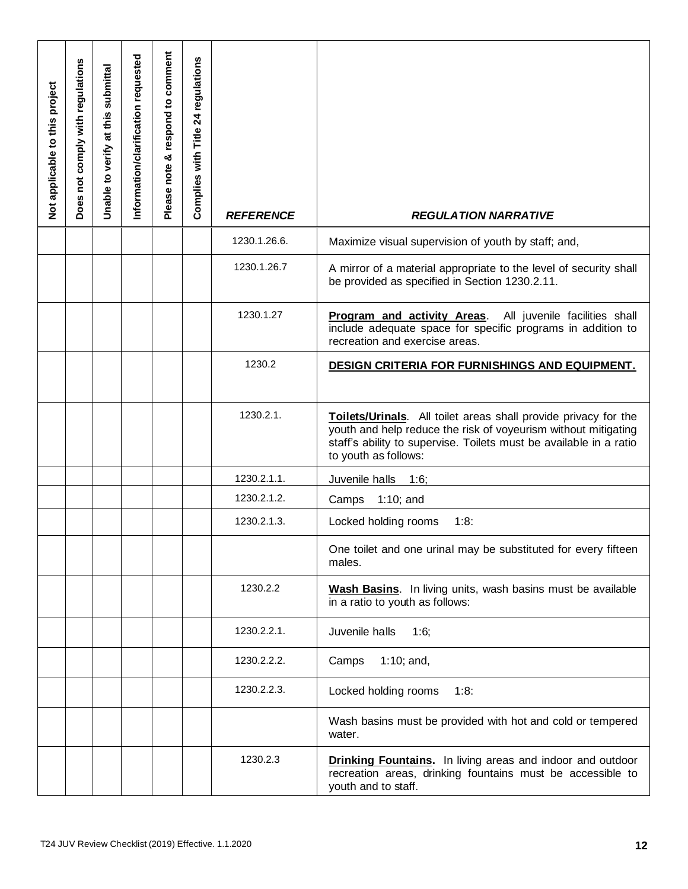| Not applicable to this project | Does not comply with regulations | Unable to verify at this submittal | Information/clarification requested | Please note & respond to comment | Complies with Title 24 regulations | <b>REFERENCE</b>                                    | <b>REGULATION NARRATIVE</b>                                                                                                                                                                                                     |
|--------------------------------|----------------------------------|------------------------------------|-------------------------------------|----------------------------------|------------------------------------|-----------------------------------------------------|---------------------------------------------------------------------------------------------------------------------------------------------------------------------------------------------------------------------------------|
|                                |                                  |                                    |                                     |                                  |                                    | 1230.1.26.6.                                        | Maximize visual supervision of youth by staff; and,                                                                                                                                                                             |
|                                |                                  |                                    |                                     |                                  |                                    | 1230.1.26.7                                         | A mirror of a material appropriate to the level of security shall<br>be provided as specified in Section 1230.2.11.                                                                                                             |
|                                |                                  |                                    |                                     |                                  |                                    | 1230.1.27                                           | All juvenile facilities shall<br><b>Program and activity Areas.</b><br>include adequate space for specific programs in addition to<br>recreation and exercise areas.                                                            |
|                                |                                  |                                    |                                     |                                  |                                    | 1230.2                                              | DESIGN CRITERIA FOR FURNISHINGS AND EQUIPMENT.                                                                                                                                                                                  |
|                                |                                  |                                    |                                     |                                  |                                    | 1230.2.1.                                           | Toilets/Urinals. All toilet areas shall provide privacy for the<br>youth and help reduce the risk of voyeurism without mitigating<br>staff's ability to supervise. Toilets must be available in a ratio<br>to youth as follows: |
|                                |                                  |                                    |                                     |                                  |                                    | 1230.2.1.1.                                         | Juvenile halls<br>1:6;                                                                                                                                                                                                          |
|                                |                                  |                                    |                                     |                                  |                                    | 1230.2.1.2.                                         | $1:10;$ and<br>Camps                                                                                                                                                                                                            |
|                                |                                  |                                    |                                     |                                  |                                    | 1230.2.1.3.                                         | Locked holding rooms<br>1:8:                                                                                                                                                                                                    |
|                                |                                  |                                    |                                     |                                  |                                    |                                                     | One toilet and one urinal may be substituted for every fifteen<br>males.                                                                                                                                                        |
|                                |                                  |                                    |                                     |                                  |                                    | 1230.2.2                                            | Wash Basins. In living units, wash basins must be available<br>in a ratio to youth as follows:                                                                                                                                  |
|                                |                                  |                                    |                                     |                                  |                                    | 1230.2.2.1.                                         | Juvenile halls<br>1:6;                                                                                                                                                                                                          |
|                                |                                  |                                    |                                     |                                  |                                    | 1230.2.2.2.                                         | $1:10;$ and,<br>Camps                                                                                                                                                                                                           |
|                                |                                  |                                    |                                     |                                  |                                    | 1230.2.2.3.                                         | Locked holding rooms<br>1:8:                                                                                                                                                                                                    |
|                                |                                  |                                    |                                     |                                  |                                    |                                                     | Wash basins must be provided with hot and cold or tempered<br>water.                                                                                                                                                            |
|                                |                                  |                                    |                                     |                                  |                                    | 1230.2.3                                            | <b>Drinking Fountains.</b> In living areas and indoor and outdoor<br>recreation areas, drinking fountains must be accessible to<br>youth and to staff.                                                                          |
|                                |                                  |                                    |                                     |                                  |                                    | T24 JUV Review Checklist (2019) Effective. 1.1.2020 | 12                                                                                                                                                                                                                              |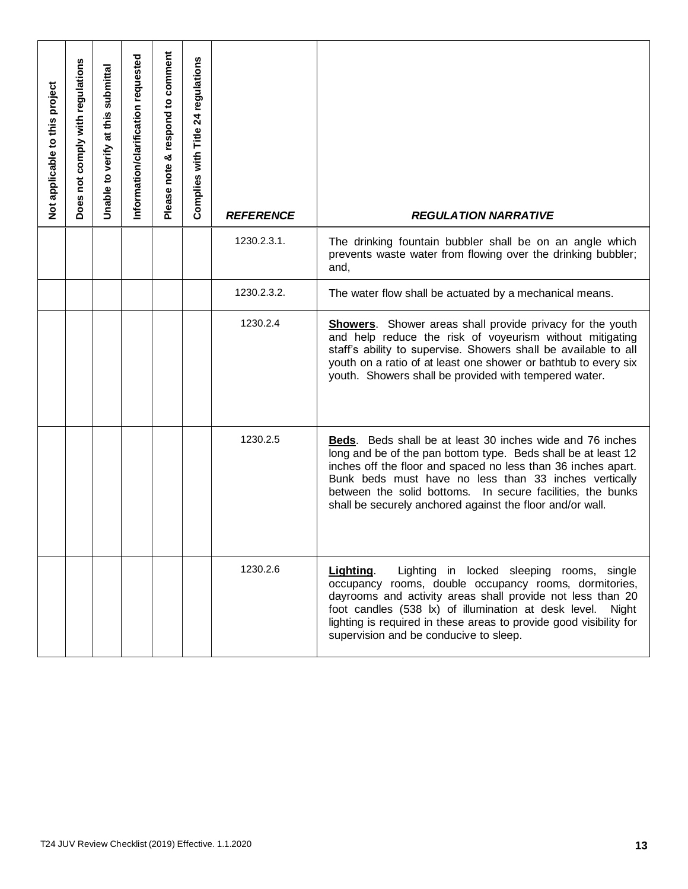| Not applicable to this project                            | Does not comply with regulations | Unable to verify at this submittal | Information/clarification requested | Please note & respond to comment | Complies with Title 24 regulations | <b>REFERENCE</b> | <b>REGULATION NARRATIVE</b>                                                                                                                                                                                                                                                                                                                                                            |
|-----------------------------------------------------------|----------------------------------|------------------------------------|-------------------------------------|----------------------------------|------------------------------------|------------------|----------------------------------------------------------------------------------------------------------------------------------------------------------------------------------------------------------------------------------------------------------------------------------------------------------------------------------------------------------------------------------------|
|                                                           |                                  |                                    |                                     |                                  |                                    | 1230.2.3.1.      | The drinking fountain bubbler shall be on an angle which<br>prevents waste water from flowing over the drinking bubbler;<br>and,                                                                                                                                                                                                                                                       |
|                                                           |                                  |                                    |                                     |                                  |                                    | 1230.2.3.2.      | The water flow shall be actuated by a mechanical means.                                                                                                                                                                                                                                                                                                                                |
|                                                           |                                  |                                    |                                     |                                  |                                    | 1230.2.4         | <b>Showers</b> . Shower areas shall provide privacy for the youth<br>and help reduce the risk of voyeurism without mitigating<br>staff's ability to supervise. Showers shall be available to all<br>youth on a ratio of at least one shower or bathtub to every six<br>youth. Showers shall be provided with tempered water.                                                           |
|                                                           |                                  |                                    |                                     |                                  |                                    | 1230.2.5         | <b>Beds.</b> Beds shall be at least 30 inches wide and 76 inches<br>long and be of the pan bottom type. Beds shall be at least 12<br>inches off the floor and spaced no less than 36 inches apart.<br>Bunk beds must have no less than 33 inches vertically<br>between the solid bottoms. In secure facilities, the bunks<br>shall be securely anchored against the floor and/or wall. |
|                                                           |                                  |                                    |                                     |                                  |                                    | 1230.2.6         | Lighting.<br>Lighting in locked sleeping rooms, single<br>occupancy rooms, double occupancy rooms, dormitories,<br>dayrooms and activity areas shall provide not less than 20<br>foot candles (538 lx) of illumination at desk level.<br>Night<br>lighting is required in these areas to provide good visibility for<br>supervision and be conducive to sleep.                         |
| T24 JUV Review Checklist (2019) Effective. 1.1.2020<br>13 |                                  |                                    |                                     |                                  |                                    |                  |                                                                                                                                                                                                                                                                                                                                                                                        |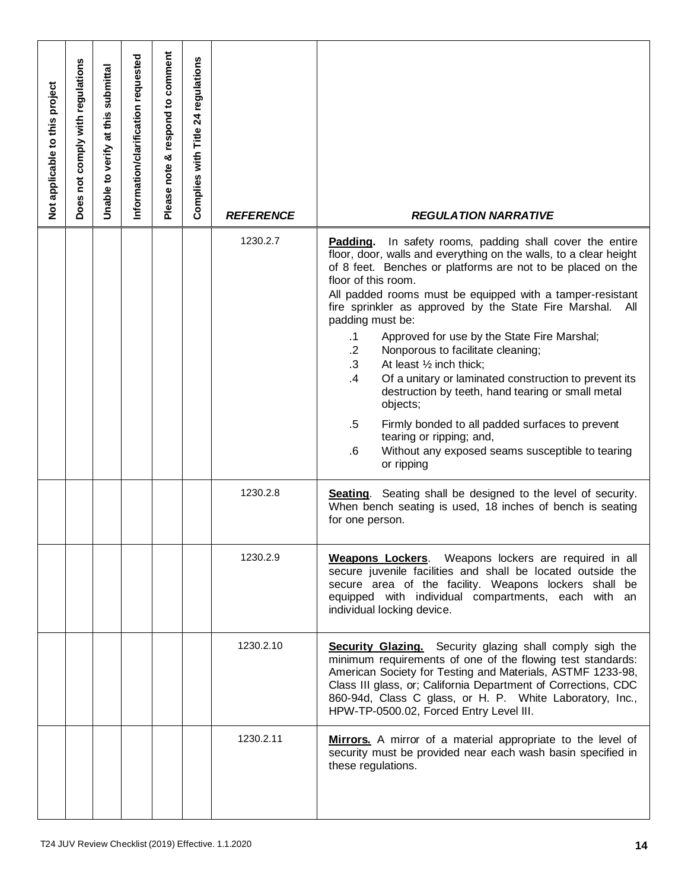| Not applicable to this project | Does not comply with regulations                          | Unable to verify at this submittal | Information/clarification requested | Please note & respond to comment | Complies with Title 24 regulations | <b>REFERENCE</b> | <b>REGULATION NARRATIVE</b>                                                                                                                                                                                                                                                                                                                                                                                                                                                                                                                                                                                                                                                                                                                                                                                                          |
|--------------------------------|-----------------------------------------------------------|------------------------------------|-------------------------------------|----------------------------------|------------------------------------|------------------|--------------------------------------------------------------------------------------------------------------------------------------------------------------------------------------------------------------------------------------------------------------------------------------------------------------------------------------------------------------------------------------------------------------------------------------------------------------------------------------------------------------------------------------------------------------------------------------------------------------------------------------------------------------------------------------------------------------------------------------------------------------------------------------------------------------------------------------|
|                                |                                                           |                                    |                                     |                                  |                                    | 1230.2.7         | In safety rooms, padding shall cover the entire<br>Padding.<br>floor, door, walls and everything on the walls, to a clear height<br>of 8 feet. Benches or platforms are not to be placed on the<br>floor of this room.<br>All padded rooms must be equipped with a tamper-resistant<br>fire sprinkler as approved by the State Fire Marshal.<br>All<br>padding must be:<br>Approved for use by the State Fire Marshal;<br>$\cdot$ 1<br>$\cdot$ 2<br>Nonporous to facilitate cleaning;<br>$\cdot$ 3<br>At least 1/2 inch thick;<br>$\cdot$<br>Of a unitary or laminated construction to prevent its<br>destruction by teeth, hand tearing or small metal<br>objects;<br>$.5\,$<br>Firmly bonded to all padded surfaces to prevent<br>tearing or ripping; and,<br>Without any exposed seams susceptible to tearing<br>.6<br>or ripping |
|                                |                                                           |                                    |                                     |                                  |                                    | 1230.2.8         | <b>Seating</b> . Seating shall be designed to the level of security.<br>When bench seating is used, 18 inches of bench is seating<br>for one person.                                                                                                                                                                                                                                                                                                                                                                                                                                                                                                                                                                                                                                                                                 |
|                                |                                                           |                                    |                                     |                                  |                                    | 1230.2.9         | Weapons Lockers. Weapons lockers are required in all<br>secure juvenile facilities and shall be located outside the<br>secure area of the facility. Weapons lockers shall be<br>equipped with individual compartments, each with an<br>individual locking device.                                                                                                                                                                                                                                                                                                                                                                                                                                                                                                                                                                    |
|                                |                                                           |                                    |                                     |                                  |                                    | 1230.2.10        | <b>Security Glazing.</b> Security glazing shall comply sigh the<br>minimum requirements of one of the flowing test standards:<br>American Society for Testing and Materials, ASTMF 1233-98,<br>Class III glass, or; California Department of Corrections, CDC<br>860-94d, Class C glass, or H. P. White Laboratory, Inc.,<br>HPW-TP-0500.02, Forced Entry Level III.                                                                                                                                                                                                                                                                                                                                                                                                                                                                 |
|                                |                                                           |                                    |                                     |                                  |                                    | 1230.2.11        | Mirrors. A mirror of a material appropriate to the level of<br>security must be provided near each wash basin specified in<br>these regulations.                                                                                                                                                                                                                                                                                                                                                                                                                                                                                                                                                                                                                                                                                     |
|                                | T24 JUV Review Checklist (2019) Effective. 1.1.2020<br>14 |                                    |                                     |                                  |                                    |                  |                                                                                                                                                                                                                                                                                                                                                                                                                                                                                                                                                                                                                                                                                                                                                                                                                                      |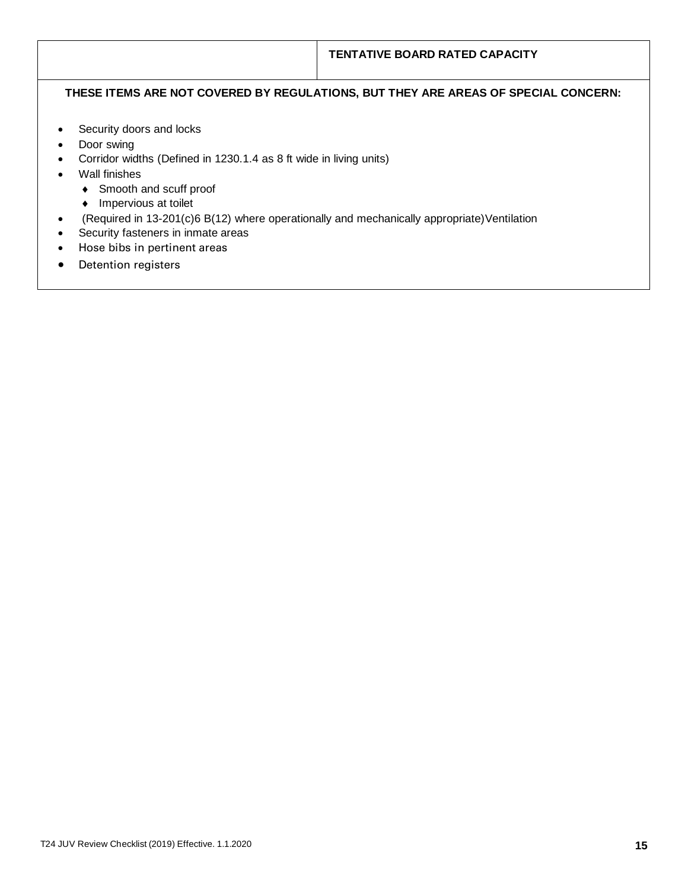## **THESE ITEMS ARE NOT COVERED BY REGULATIONS, BUT THEY ARE AREAS OF SPECIAL CONCERN:**

- Security doors and locks
- Door swing
- Corridor widths (Defined in 1230.1.4 as 8 ft wide in living units)
- Wall finishes
	- ◆ Smooth and scuff proof
	- Impervious at toilet
- (Required in 13-201(c)6 B(12) where operationally and mechanically appropriate)Ventilation
- Security fasteners in inmate areas
- Hose bibs in pertinent areas
- Detention registers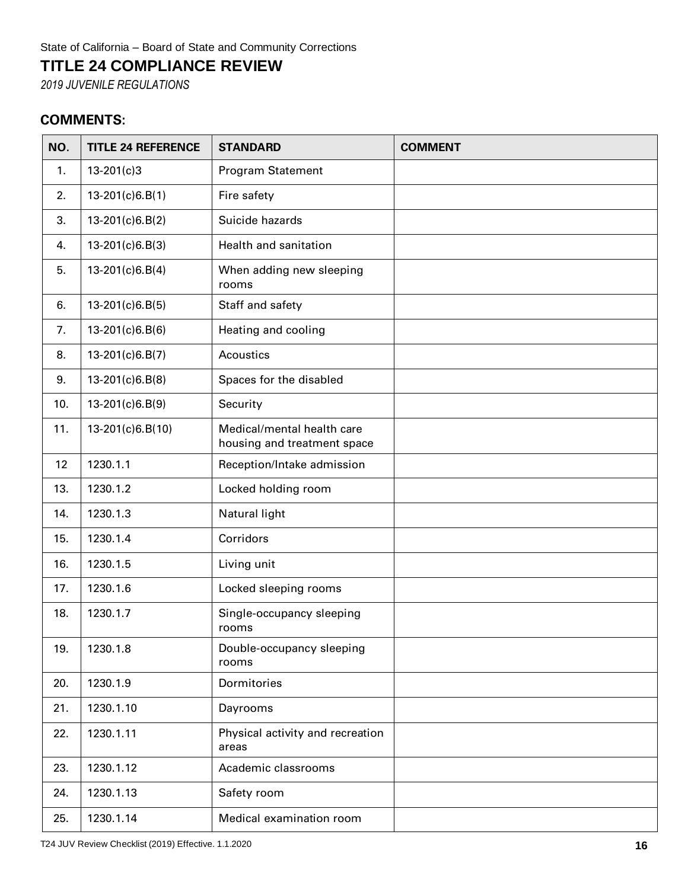## **TITLE 24 COMPLIANCE REVIEW**

*2019 JUVENILE REGULATIONS*

## **COMMENTS:**

| NO. | <b>TITLE 24 REFERENCE</b> | <b>STANDARD</b>                                           | <b>COMMENT</b> |
|-----|---------------------------|-----------------------------------------------------------|----------------|
| 1.  | $13 - 201(c)3$            | Program Statement                                         |                |
| 2.  | $13-201(c)6.B(1)$         | Fire safety                                               |                |
| 3.  | $13-201(c)6.B(2)$         | Suicide hazards                                           |                |
| 4.  | $13-201(c)6.B(3)$         | Health and sanitation                                     |                |
| 5.  | $13-201(c)6.B(4)$         | When adding new sleeping<br>rooms                         |                |
| 6.  | $13-201(c)6.B(5)$         | Staff and safety                                          |                |
| 7.  | $13-201(c)6.B(6)$         | Heating and cooling                                       |                |
| 8.  | 13-201(c)6.B(7)           | Acoustics                                                 |                |
| 9.  | 13-201(c)6.B(8)           | Spaces for the disabled                                   |                |
| 10. | 13-201(c)6.B(9)           | Security                                                  |                |
| 11. | 13-201(c)6.B(10)          | Medical/mental health care<br>housing and treatment space |                |
| 12  | 1230.1.1                  | Reception/Intake admission                                |                |
| 13. | 1230.1.2                  | Locked holding room                                       |                |
| 14. | 1230.1.3                  | Natural light                                             |                |
| 15. | 1230.1.4                  | Corridors                                                 |                |
| 16. | 1230.1.5                  | Living unit                                               |                |
| 17. | 1230.1.6                  | Locked sleeping rooms                                     |                |
| 18. | 1230.1.7                  | Single-occupancy sleeping<br>rooms                        |                |
| 19. | 1230.1.8                  | Double-occupancy sleeping<br>rooms                        |                |
| 20. | 1230.1.9                  | Dormitories                                               |                |
| 21. | 1230.1.10                 | Dayrooms                                                  |                |
| 22. | 1230.1.11                 | Physical activity and recreation<br>areas                 |                |
| 23. | 1230.1.12                 | Academic classrooms                                       |                |
| 24. | 1230.1.13                 | Safety room                                               |                |
| 25. | 1230.1.14                 | Medical examination room                                  |                |